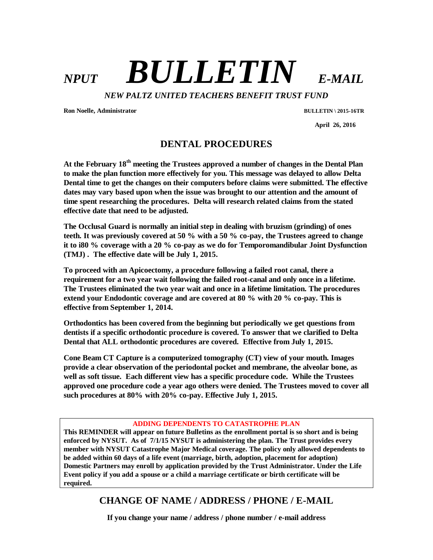## $NPUT$  *BULLETIN E-MAIL NEW PALTZ UNITED TEACHERS BENEFIT TRUST FUND*

**Ron Noelle, Administrator BULLETIN \ 2015-16TR**

 **April 26, 2016**

## **DENTAL PROCEDURES**

**At the February 18th meeting the Trustees approved a number of changes in the Dental Plan to make the plan function more effectively for you. This message was delayed to allow Delta Dental time to get the changes on their computers before claims were submitted. The effective dates may vary based upon when the issue was brought to our attention and the amount of time spent researching the procedures. Delta will research related claims from the stated effective date that need to be adjusted.**

**The Occlusal Guard is normally an initial step in dealing with bruzism (grinding) of ones teeth. It was previously covered at 50 % with a 50 % co-pay, the Trustees agreed to change it to i80 % coverage with a 20 % co-pay as we do for Temporomandibular Joint Dysfunction (TMJ) . The effective date will be July 1, 2015.** 

**To proceed with an Apicoectomy, a procedure following a failed root canal, there a requirement for a two year wait following the failed root-canal and only once in a lifetime. The Trustees eliminated the two year wait and once in a lifetime limitation. The procedures extend your Endodontic coverage and are covered at 80 % with 20 % co-pay. This is effective from September 1, 2014.**

**Orthodontics has been covered from the beginning but periodically we get questions from dentists if a specific orthodontic procedure is covered. To answer that we clarified to Delta Dental that ALL orthodontic procedures are covered. Effective from July 1, 2015.**

**Cone Beam CT Capture is a computerized tomography (CT) view of your mouth. Images provide a clear observation of the periodontal pocket and membrane, the alveolar bone, as well as soft tissue. Each different view has a specific procedure code. While the Trustees approved one procedure code a year ago others were denied. The Trustees moved to cover all such procedures at 80% with 20% co-pay. Effective July 1, 2015.** 

## **ADDING DEPENDENTS TO CATASTROPHE PLAN**

**This REMINDER will appear on future Bulletins as the enrollment portal is so short and is being enforced by NYSUT. As of 7/1/15 NYSUT is administering the plan. The Trust provides every member with NYSUT Catastrophe Major Medical coverage. The policy only allowed dependents to be added within 60 days of a life event (marriage, birth, adoption, placement for adoption) Domestic Partners may enroll by application provided by the Trust Administrator. Under the Life Event policy if you add a spouse or a child a marriage certificate or birth certificate will be required.** 

## **CHANGE OF NAME / ADDRESS / PHONE / E-MAIL**

**If you change your name / address / phone number / e-mail address**